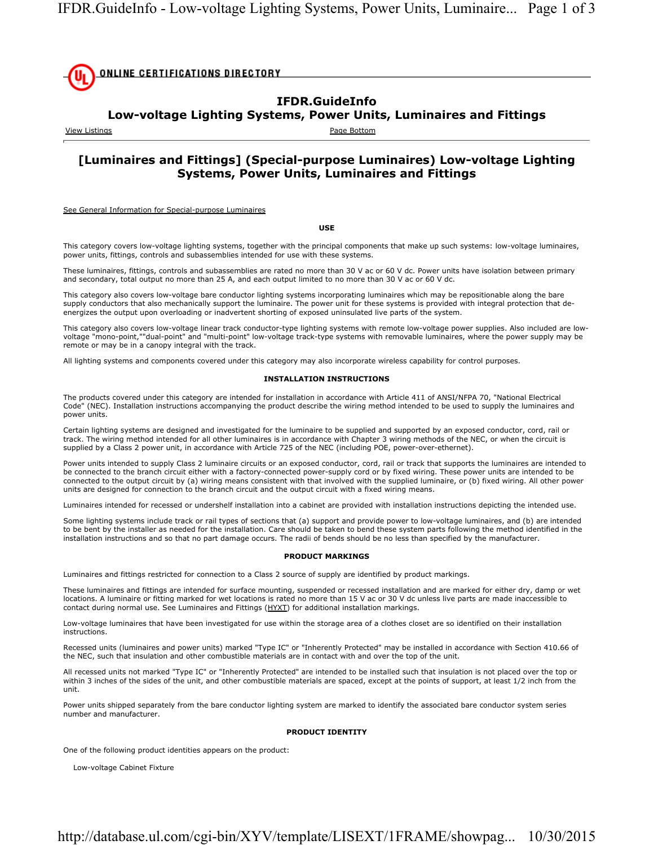

## **IFDR.GuideInfo**

### **Low-voltage Lighting Systems, Power Units, Luminaires and Fittings**

View Listings **Page Bottom** 

## **[Luminaires and Fittings] (Special-purpose Luminaires) Low-voltage Lighting Systems, Power Units, Luminaires and Fittings**

See General Information for Special-purpose Luminaires

**USE**

This category covers low-voltage lighting systems, together with the principal components that make up such systems: low-voltage luminaires, power units, fittings, controls and subassemblies intended for use with these systems.

These luminaires, fittings, controls and subassemblies are rated no more than 30 V ac or 60 V dc. Power units have isolation between primary and secondary, total output no more than 25 A, and each output limited to no more than 30 V ac or 60 V dc.

This category also covers low-voltage bare conductor lighting systems incorporating luminaires which may be repositionable along the bare supply conductors that also mechanically support the luminaire. The power unit for these systems is provided with integral protection that deenergizes the output upon overloading or inadvertent shorting of exposed uninsulated live parts of the system.

This category also covers low-voltage linear track conductor-type lighting systems with remote low-voltage power supplies. Also included are lowvoltage "mono-point,""dual-point" and "multi-point" low-voltage track-type systems with removable luminaires, where the power supply may be remote or may be in a canopy integral with the track.

All lighting systems and components covered under this category may also incorporate wireless capability for control purposes.

#### **INSTALLATION INSTRUCTIONS**

The products covered under this category are intended for installation in accordance with Article 411 of ANSI/NFPA 70, "National Electrical Code" (NEC). Installation instructions accompanying the product describe the wiring method intended to be used to supply the luminaires and power units.

Certain lighting systems are designed and investigated for the luminaire to be supplied and supported by an exposed conductor, cord, rail or track. The wiring method intended for all other luminaires is in accordance with Chapter 3 wiring methods of the NEC, or when the circuit is supplied by a Class 2 power unit, in accordance with Article 725 of the NEC (including POE, power-over-ethernet).

Power units intended to supply Class 2 luminaire circuits or an exposed conductor, cord, rail or track that supports the luminaires are intended to be connected to the branch circuit either with a factory-connected power-supply cord or by fixed wiring. These power units are intended to be connected to the output circuit by (a) wiring means consistent with that involved with the supplied luminaire, or (b) fixed wiring. All other power units are designed for connection to the branch circuit and the output circuit with a fixed wiring means.

Luminaires intended for recessed or undershelf installation into a cabinet are provided with installation instructions depicting the intended use.

Some lighting systems include track or rail types of sections that (a) support and provide power to low-voltage luminaires, and (b) are intended to be bent by the installer as needed for the installation. Care should be taken to bend these system parts following the method identified in the installation instructions and so that no part damage occurs. The radii of bends should be no less than specified by the manufacturer.

#### **PRODUCT MARKINGS**

Luminaires and fittings restricted for connection to a Class 2 source of supply are identified by product markings.

These luminaires and fittings are intended for surface mounting, suspended or recessed installation and are marked for either dry, damp or wet locations. A luminaire or fitting marked for wet locations is rated no more than 15 V ac or 30 V dc unless live parts are made inaccessible to contact during normal use. See Luminaires and Fittings (HYXT) for additional installation markings.

Low-voltage luminaires that have been investigated for use within the storage area of a clothes closet are so identified on their installation instructions.

Recessed units (luminaires and power units) marked "Type IC" or "Inherently Protected" may be installed in accordance with Section 410.66 of the NEC, such that insulation and other combustible materials are in contact with and over the top of the unit.

All recessed units not marked "Type IC" or "Inherently Protected" are intended to be installed such that insulation is not placed over the top or within 3 inches of the sides of the unit, and other combustible materials are spaced, except at the points of support, at least 1/2 inch from the unit.

Power units shipped separately from the bare conductor lighting system are marked to identify the associated bare conductor system series number and manufacturer.

#### **PRODUCT IDENTITY**

One of the following product identities appears on the product:

Low-voltage Cabinet Fixture

## http://database.ul.com/cgi-bin/XYV/template/LISEXT/1FRAME/showpag... 10/30/2015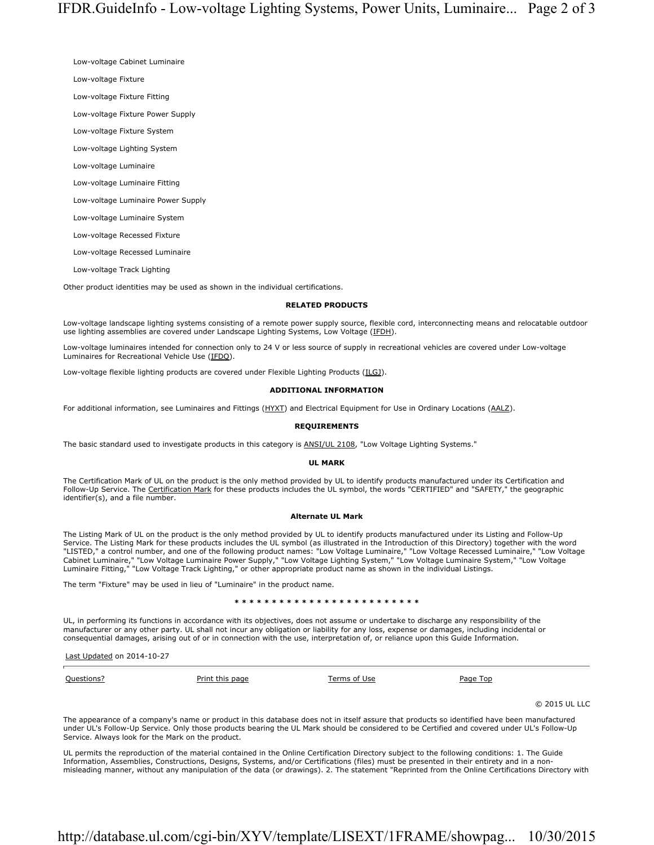Low-voltage Cabinet Luminaire

Low-voltage Fixture

Low-voltage Fixture Fitting

Low-voltage Fixture Power Supply

Low-voltage Fixture System

Low-voltage Lighting System

Low-voltage Luminaire

Low-voltage Luminaire Fitting

Low-voltage Luminaire Power Supply

Low-voltage Luminaire System

Low-voltage Recessed Fixture

Low-voltage Recessed Luminaire

Low-voltage Track Lighting

Other product identities may be used as shown in the individual certifications.

#### **RELATED PRODUCTS**

Low-voltage landscape lighting systems consisting of a remote power supply source, flexible cord, interconnecting means and relocatable outdoor use lighting assemblies are covered under Landscape Lighting Systems, Low Voltage (IFDH).

Low-voltage luminaires intended for connection only to 24 V or less source of supply in recreational vehicles are covered under Low-voltage Luminaires for Recreational Vehicle Use (IFDQ).

Low-voltage flexible lighting products are covered under Flexible Lighting Products (ILGJ).

#### **ADDITIONAL INFORMATION**

For additional information, see Luminaires and Fittings (HYXT) and Electrical Equipment for Use in Ordinary Locations (AALZ).

#### **REQUIREMENTS**

The basic standard used to investigate products in this category is ANSI/UL 2108, "Low Voltage Lighting Systems."

#### **UL MARK**

The Certification Mark of UL on the product is the only method provided by UL to identify products manufactured under its Certification and Follow-Up Service. The Certification Mark for these products includes the UL symbol, the words "CERTIFIED" and "SAFETY," the geographic identifier(s), and a file number.

#### **Alternate UL Mark**

The Listing Mark of UL on the product is the only method provided by UL to identify products manufactured under its Listing and Follow-Up Service. The Listing Mark for these products includes the UL symbol (as illustrated in the Introduction of this Directory) together with the word "LISTED," a control number, and one of the following product names: "Low Voltage Luminaire," "Low Voltage Recessed Luminaire," "Low Voltage Cabinet Luminaire," "Low Voltage Luminaire Power Supply," "Low Voltage Lighting System," "Low Voltage Luminaire System," "Low Voltage Luminaire Fitting," "Low Voltage Track Lighting," or other appropriate product name as shown in the individual Listings.

The term "Fixture" may be used in lieu of "Luminaire" in the product name.

#### **\* \* \* \* \* \* \* \* \* \* \* \* \* \* \* \* \* \* \* \* \* \* \* \* \***

UL, in performing its functions in accordance with its objectives, does not assume or undertake to discharge any responsibility of the manufacturer or any other party. UL shall not incur any obligation or liability for any loss, expense or damages, including incidental or consequential damages, arising out of or in connection with the use, interpretation of, or reliance upon this Guide Information.

Last Updated on 2014-10-27

Questions? Print this page Terms of Use Page Top

© 2015 UL LLC

The appearance of a company's name or product in this database does not in itself assure that products so identified have been manufactured under UL's Follow-Up Service. Only those products bearing the UL Mark should be considered to be Certified and covered under UL's Follow-Up Service. Always look for the Mark on the product.

UL permits the reproduction of the material contained in the Online Certification Directory subject to the following conditions: 1. The Guide Information, Assemblies, Constructions, Designs, Systems, and/or Certifications (files) must be presented in their entirety and in a nonmisleading manner, without any manipulation of the data (or drawings). 2. The statement "Reprinted from the Online Certifications Directory with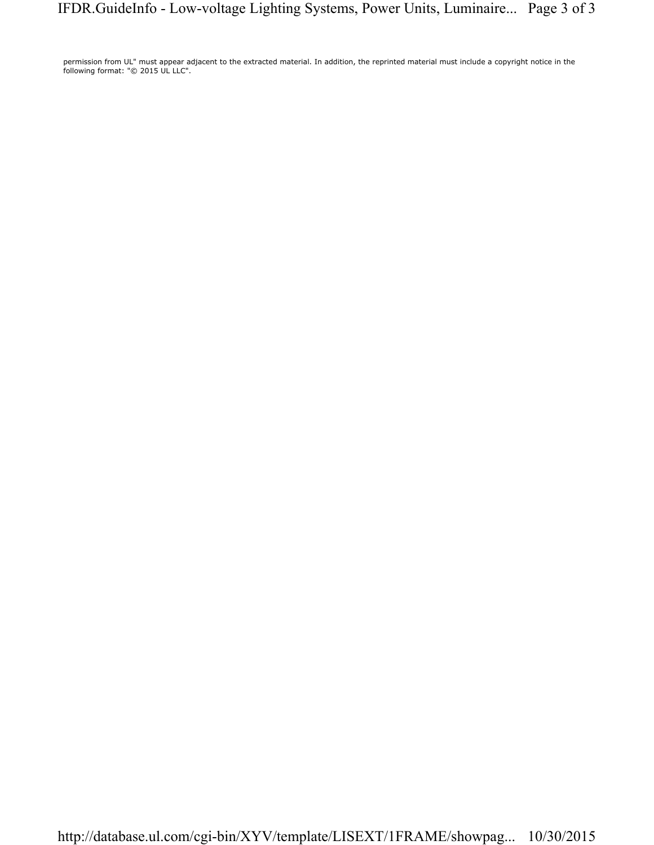permission from UL" must appear adjacent to the extracted material. In addition, the reprinted material must include a copyright notice in the following format: "© 2015 UL LLC".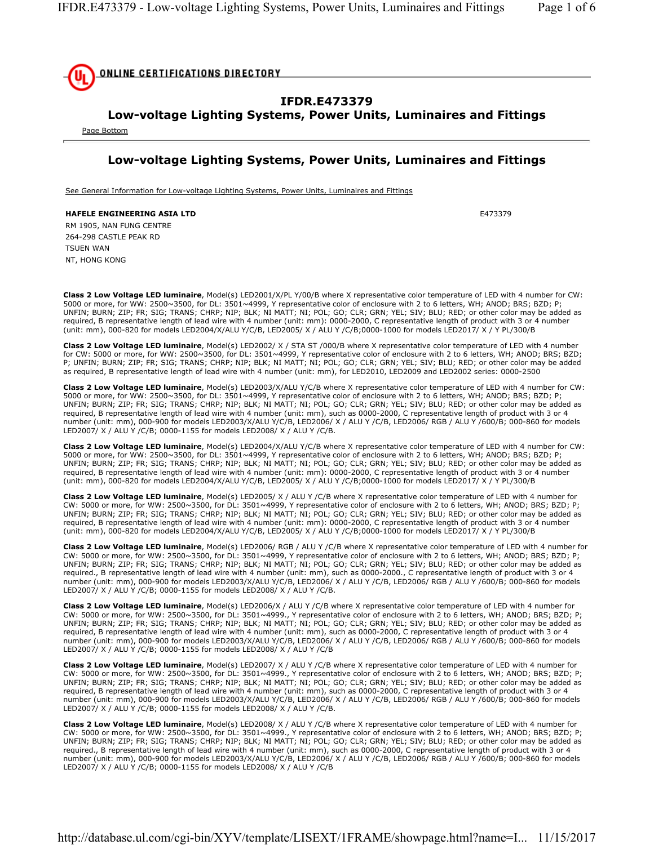

## **IFDR.E473379**

# **Low-voltage Lighting Systems, Power Units, Luminaires and Fittings**

Page Bottom

## **Low-voltage Lighting Systems, Power Units, Luminaires and Fittings**

See General Information for Low-voltage Lighting Systems, Power Units, Luminaires and Fittings

**HAFELE ENGINEERING ASIA LTD E473379** RM 1905, NAN FUNG CENTRE 264-298 CASTLE PEAK RD TSUEN WAN NT, HONG KONG

**Class 2 Low Voltage LED luminaire**, Model(s) LED2001/X/PL Y/00/B where X representative color temperature of LED with 4 number for CW: 5000 or more, for WW: 2500~3500, for DL: 3501~4999, Y representative color of enclosure with 2 to 6 letters, WH; ANOD; BRS; BZD; P; UNFIN; BURN; ZIP; FR; SIG; TRANS; CHRP; NIP; BLK; NI MATT; NI; POL; GO; CLR; GRN; YEL; SIV; BLU; RED; or other color may be added as required, B representative length of lead wire with 4 number (unit: mm): 0000-2000, C representative length of product with 3 or 4 number (unit: mm), 000-820 for models LED2004/X/ALU Y/C/B, LED2005/ X / ALU Y /C/B;0000-1000 for models LED2017/ X / Y PL/300/B

**Class 2 Low Voltage LED luminaire**, Model(s) LED2002/ X / STA ST /000/B where X representative color temperature of LED with 4 number for CW: 5000 or more, for WW: 2500~3500, for DL: 3501~4999, Y representative color of enclosure with 2 to 6 letters, WH; ANOD; BRS; BZD; P; UNFIN; BURN; ZIP; FR; SIG; TRANS; CHRP; NIP; BLK; NI MATT; NI; POL; GO; CLR; GRN; YEL; SIV; BLU; RED; or other color may be added as required, B representative length of lead wire with 4 number (unit: mm), for LED2010, LED2009 and LED2002 series: 0000-2500

**Class 2 Low Voltage LED luminaire**, Model(s) LED2003/X/ALU Y/C/B where X representative color temperature of LED with 4 number for CW: 5000 or more, for WW: 2500~3500, for DL: 3501~4999, Y representative color of enclosure with 2 to 6 letters, WH; ANOD; BRS; BZD; P; UNFIN; BURN; ZIP; FR; SIG; TRANS; CHRP; NIP; BLK; NI MATT; NI; POL; GO; CLR; GRN; YEL; SIV; BLU; RED; or other color may be added as required, B representative length of lead wire with 4 number (unit: mm), such as 0000-2000, C representative length of product with 3 or 4 number (unit: mm), 000-900 for models LED2003/X/ALU Y/C/B, LED2006/ X / ALU Y /C/B, LED2006/ RGB / ALU Y /600/B; 000-860 for models LED2007/ X / ALU Y /C/B; 0000-1155 for models LED2008/ X / ALU Y /C/B.

**Class 2 Low Voltage LED luminaire**, Model(s) LED2004/X/ALU Y/C/B where X representative color temperature of LED with 4 number for CW: 5000 or more, for WW: 2500~3500, for DL: 3501~4999, Y representative color of enclosure with 2 to 6 letters, WH; ANOD; BRS; BZD; P; UNFIN; BURN; ZIP; FR; SIG; TRANS; CHRP; NIP; BLK; NI MATT; NI; POL; GO; CLR; GRN; YEL; SIV; BLU; RED; or other color may be added as required, B representative length of lead wire with 4 number (unit: mm): 0000-2000, C representative length of product with 3 or 4 number (unit: mm), 000-820 for models LED2004/X/ALU Y/C/B, LED2005/ X / ALU Y /C/B;0000-1000 for models LED2017/ X / Y PL/300/B

**Class 2 Low Voltage LED luminaire**, Model(s) LED2005/ X / ALU Y /C/B where X representative color temperature of LED with 4 number for CW: 5000 or more, for WW: 2500~3500, for DL: 3501~4999, Y representative color of enclosure with 2 to 6 letters, WH; ANOD; BRS; BZD; P; UNFIN; BURN; ZIP; FR; SIG; TRANS; CHRP; NIP; BLK; NI MATT; NI; POL; GO; CLR; GRN; YEL; SIV; BLU; RED; or other color may be added as required, B representative length of lead wire with 4 number (unit: mm): 0000-2000, C representative length of product with 3 or 4 number (unit: mm), 000-820 for models LED2004/X/ALU Y/C/B, LED2005/ X / ALU Y /C/B;0000-1000 for models LED2017/ X / Y PL/300/B

**Class 2 Low Voltage LED luminaire**, Model(s) LED2006/ RGB / ALU Y /C/B where X representative color temperature of LED with 4 number for CW: 5000 or more, for WW: 2500~3500, for DL: 3501~4999, Y representative color of enclosure with 2 to 6 letters, WH; ANOD; BRS; BZD; P; UNFIN; BURN; ZIP; FR; SIG; TRANS; CHRP; NIP; BLK; NI MATT; NI; POL; GO; CLR; GRN; YEL; SIV; BLU; RED; or other color may be added as required., B representative length of lead wire with 4 number (unit: mm), such as 0000-2000., C representative length of product with 3 or 4 number (unit: mm), 000-900 for models LED2003/X/ALU Y/C/B, LED2006/ X / ALU Y /C/B, LED2006/ RGB / ALU Y /600/B; 000-860 for models LED2007/ X / ALU Y /C/B; 0000-1155 for models LED2008/ X / ALU Y /C/B.

**Class 2 Low Voltage LED luminaire**, Model(s) LED2006/X / ALU Y /C/B where X representative color temperature of LED with 4 number for CW: 5000 or more, for WW: 2500~3500, for DL: 3501~4999., Y representative color of enclosure with 2 to 6 letters, WH; ANOD; BRS; BZD; P; UNFIN; BURN; ZIP; FR; SIG; TRANS; CHRP; NIP; BLK; NI MATT; NI; POL; GO; CLR; GRN; YEL; SIV; BLU; RED; or other color may be added as required, B representative length of lead wire with 4 number (unit: mm), such as 0000-2000, C representative length of product with 3 or 4 number (unit: mm), 000-900 for models LED2003/X/ALU Y/C/B, LED2006/ X / ALU Y /C/B, LED2006/ RGB / ALU Y /600/B; 000-860 for models LED2007/ X / ALU Y /C/B; 0000-1155 for models LED2008/ X / ALU Y /C/B

**Class 2 Low Voltage LED luminaire**, Model(s) LED2007/ X / ALU Y /C/B where X representative color temperature of LED with 4 number for CW: 5000 or more, for WW: 2500~3500, for DL: 3501~4999., Y representative color of enclosure with 2 to 6 letters, WH; ANOD; BRS; BZD; P; UNFIN; BURN; ZIP; FR; SIG; TRANS; CHRP; NIP; BLK; NI MATT; NI; POL; GO; CLR; GRN; YEL; SIV; BLU; RED; or other color may be added as required, B representative length of lead wire with 4 number (unit: mm), such as 0000-2000, C representative length of product with 3 or 4 number (unit: mm), 000-900 for models LED2003/X/ALU Y/C/B, LED2006/ X / ALU Y /C/B, LED2006/ RGB / ALU Y /600/B; 000-860 for models LED2007/ X / ALU Y /C/B; 0000-1155 for models LED2008/ X / ALU Y /C/B.

**Class 2 Low Voltage LED luminaire**, Model(s) LED2008/ X / ALU Y /C/B where X representative color temperature of LED with 4 number for CW: 5000 or more, for WW: 2500~3500, for DL: 3501~4999., Y representative color of enclosure with 2 to 6 letters, WH; ANOD; BRS; BZD; P; UNFIN; BURN; ZIP; FR; SIG; TRANS; CHRP; NIP; BLK; NI MATT; NI; POL; GO; CLR; GRN; YEL; SIV; BLU; RED; or other color may be added as required., B representative length of lead wire with 4 number (unit: mm), such as 0000-2000, C representative length of product with 3 or 4 number (unit: mm), 000-900 for models LED2003/X/ALU Y/C/B, LED2006/ X / ALU Y /C/B, LED2006/ RGB / ALU Y /600/B; 000-860 for models LED2007/ X / ALU Y /C/B; 0000-1155 for models LED2008/ X / ALU Y /C/B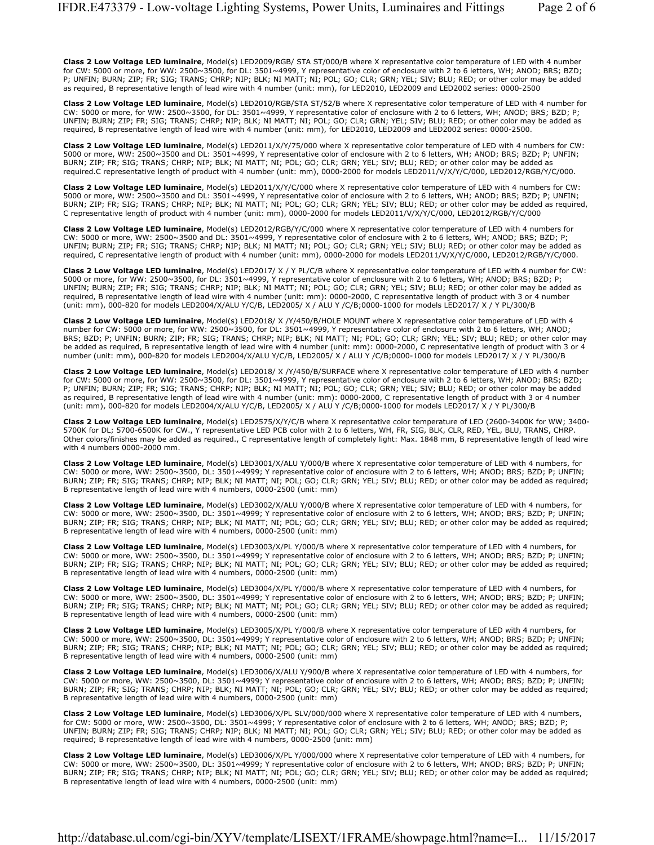**Class 2 Low Voltage LED luminaire**, Model(s) LED2009/RGB/ STA ST/000/B where X representative color temperature of LED with 4 number for CW: 5000 or more, for WW: 2500~3500, for DL: 3501~4999, Y representative color of enclosure with 2 to 6 letters, WH; ANOD; BRS; BZD; P; UNFIN; BURN; ZIP; FR; SIG; TRANS; CHRP; NIP; BLK; NI MATT; NI; POL; GO; CLR; GRN; YEL; SIV; BLU; RED; or other color may be added as required, B representative length of lead wire with 4 number (unit: mm), for LED2010, LED2009 and LED2002 series: 0000-2500

**Class 2 Low Voltage LED luminaire**, Model(s) LED2010/RGB/STA ST/52/B where X representative color temperature of LED with 4 number for CW: 5000 or more, for WW: 2500~3500, for DL: 3501~4999, Y representative color of enclosure with 2 to 6 letters, WH; ANOD; BRS; BZD; P; UNFIN; BURN; ZIP; FR; SIG; TRANS; CHRP; NIP; BLK; NI MATT; NI; POL; GO; CLR; GRN; YEL; SIV; BLU; RED; or other color may be added as required, B representative length of lead wire with 4 number (unit: mm), for LED2010, LED2009 and LED2002 series: 0000-2500.

**Class 2 Low Voltage LED luminaire**, Model(s) LED2011/X/Y/75/000 where X representative color temperature of LED with 4 numbers for CW: 5000 or more, WW: 2500~3500 and DL: 3501~4999, Y representative color of enclosure with 2 to 6 letters, WH; ANOD; BRS; BZD; P; UNFIN; BURN; ZIP; FR; SIG; TRANS; CHRP; NIP; BLK; NI MATT; NI; POL; GO; CLR; GRN; YEL; SIV; BLU; RED; or other color may be added as required.C representative length of product with 4 number (unit: mm), 0000-2000 for models LED2011/V/X/Y/C/000, LED2012/RGB/Y/C/000.

**Class 2 Low Voltage LED luminaire**, Model(s) LED2011/X/Y/C/000 where X representative color temperature of LED with 4 numbers for CW: 5000 or more, WW: 2500~3500 and DL: 3501~4999, Y representative color of enclosure with 2 to 6 letters, WH; ANOD; BRS; BZD; P; UNFIN; BURN; ZIP; FR; SIG; TRANS; CHRP; NIP; BLK; NI MATT; NI; POL; GO; CLR; GRN; YEL; SIV; BLU; RED; or other color may be added as required, C representative length of product with 4 number (unit: mm), 0000-2000 for models LED2011/V/X/Y/C/000, LED2012/RGB/Y/C/000

**Class 2 Low Voltage LED luminaire**, Model(s) LED2012/RGB/Y/C/000 where X representative color temperature of LED with 4 numbers for CW: 5000 or more, WW: 2500~3500 and DL: 3501~4999, Y representative color of enclosure with 2 to 6 letters, WH; ANOD; BRS; BZD; P; UNFIN; BURN; ZIP; FR; SIG; TRANS; CHRP; NIP; BLK; NI MATT; NI; POL; GO; CLR; GRN; YEL; SIV; BLU; RED; or other color may be added as required, C representative length of product with 4 number (unit: mm), 0000-2000 for models LED2011/V/X/Y/C/000, LED2012/RGB/Y/C/000.

**Class 2 Low Voltage LED luminaire**, Model(s) LED2017/ X / Y PL/C/B where X representative color temperature of LED with 4 number for CW: 5000 or more, for WW: 2500~3500, for DL: 3501~4999, Y representative color of enclosure with 2 to 6 letters, WH; ANOD; BRS; BZD; P; UNFIN; BURN; ZIP; FR; SIG; TRANS; CHRP; NIP; BLK; NI MATT; NI; POL; GO; CLR; GRN; YEL; SIV; BLU; RED; or other color may be added as required, B representative length of lead wire with 4 number (unit: mm): 0000-2000, C representative length of product with 3 or 4 number (unit: mm), 000-820 for models LED2004/X/ALU Y/C/B, LED2005/ X / ALU Y /C/B;0000-1000 for models LED2017/ X / Y PL/300/B

**Class 2 Low Voltage LED luminaire**, Model(s) LED2018/ X /Y/450/B/HOLE MOUNT where X representative color temperature of LED with 4 number for CW: 5000 or more, for WW: 2500~3500, for DL: 3501~4999, Y representative color of enclosure with 2 to 6 letters, WH; ANOD; BRS; BZD; P; UNFIN; BURN; ZIP; FR; SIG; TRANS; CHRP; NIP; BLK; NI MATT; NI; POL; GO; CLR; GRN; YEL; SIV; BLU; RED; or other color may be added as required, B representative length of lead wire with 4 number (unit: mm): 0000-2000, C representative length of product with 3 or 4 number (unit: mm), 000-820 for models LED2004/X/ALU Y/C/B, LED2005/ X / ALU Y /C/B;0000-1000 for models LED2017/ X / Y PL/300/B

**Class 2 Low Voltage LED luminaire**, Model(s) LED2018/ X /Y/450/B/SURFACE where X representative color temperature of LED with 4 number for CW: 5000 or more, for WW: 2500~3500, for DL: 3501~4999, Y representative color of enclosure with 2 to 6 letters, WH; ANOD; BRS; BZD; P; UNFIN; BURN; ZIP; FR; SIG; TRANS; CHRP; NIP; BLK; NI MATT; NI; POL; GO; CLR; GRN; YEL; SIV; BLU; RED; or other color may be added as required, B representative length of lead wire with 4 number (unit: mm): 0000-2000, C representative length of product with 3 or 4 number (unit: mm), 000-820 for models LED2004/X/ALU Y/C/B, LED2005/ X / ALU Y /C/B;0000-1000 for models LED2017/ X / Y PL/300/B

**Class 2 Low Voltage LED luminaire**, Model(s) LED2575/X/Y/C/B where X representative color temperature of LED (2600-3400K for WW; 3400- 5700K for DL; 5700-6500K for CW., Y representative LED PCB color with 2 to 6 letters, WH, FR, SIG, BLK, CLR, RED, YEL, BLU, TRANS, CHRP. Other colors/finishes may be added as required., C representative length of completely light: Max. 1848 mm, B representative length of lead wire with 4 numbers 0000-2000 mm.

**Class 2 Low Voltage LED luminaire**, Model(s) LED3001/X/ALU Y/000/B where X representative color temperature of LED with 4 numbers, for CW: 5000 or more, WW: 2500~3500, DL: 3501~4999; Y representative color of enclosure with 2 to 6 letters, WH; ANOD; BRS; BZD; P; UNFIN; BURN; ZIP; FR; SIG; TRANS; CHRP; NIP; BLK; NI MATT; NI; POL; GO; CLR; GRN; YEL; SIV; BLU; RED; or other color may be added as required; B representative length of lead wire with 4 numbers, 0000-2500 (unit: mm)

**Class 2 Low Voltage LED luminaire**, Model(s) LED3002/X/ALU Y/000/B where X representative color temperature of LED with 4 numbers, for CW: 5000 or more, WW: 2500~3500, DL: 3501~4999; Y representative color of enclosure with 2 to 6 letters, WH; ANOD; BRS; BZD; P; UNFIN; BURN; ZIP; FR; SIG; TRANS; CHRP; NIP; BLK; NI MATT; NI; POL; GO; CLR; GRN; YEL; SIV; BLU; RED; or other color may be added as required; B representative length of lead wire with 4 numbers, 0000-2500 (unit: mm)

**Class 2 Low Voltage LED luminaire**, Model(s) LED3003/X/PL Y/000/B where X representative color temperature of LED with 4 numbers, for CW: 5000 or more, WW: 2500~3500, DL: 3501~4999; Y representative color of enclosure with 2 to 6 letters, WH; ANOD; BRS; BZD; P; UNFIN; BURN; ZIP; FR; SIG; TRANS; CHRP; NIP; BLK; NI MATT; NI; POL; GO; CLR; GRN; YEL; SIV; BLU; RED; or other color may be added as required; B representative length of lead wire with 4 numbers, 0000-2500 (unit: mm)

**Class 2 Low Voltage LED luminaire**, Model(s) LED3004/X/PL Y/000/B where X representative color temperature of LED with 4 numbers, for CW: 5000 or more, WW: 2500~3500, DL: 3501~4999; Y representative color of enclosure with 2 to 6 letters, WH; ANOD; BRS; BZD; P; UNFIN; BURN; ZIP; FR; SIG; TRANS; CHRP; NIP; BLK; NI MATT; NI; POL; GO; CLR; GRN; YEL; SIV; BLU; RED; or other color may be added as required; B representative length of lead wire with 4 numbers, 0000-2500 (unit: mm)

**Class 2 Low Voltage LED luminaire**, Model(s) LED3005/X/PL Y/000/B where X representative color temperature of LED with 4 numbers, for CW: 5000 or more, WW: 2500~3500, DL: 3501~4999; Y representative color of enclosure with 2 to 6 letters, WH; ANOD; BRS; BZD; P; UNFIN; BURN; ZIP; FR; SIG; TRANS; CHRP; NIP; BLK; NI MATT; NI; POL; GO; CLR; GRN; YEL; SIV; BLU; RED; or other color may be added as required; B representative length of lead wire with 4 numbers, 0000-2500 (unit: mm)

**Class 2 Low Voltage LED luminaire**, Model(s) LED3006/X/ALU Y/900/B where X representative color temperature of LED with 4 numbers, for CW: 5000 or more, WW: 2500~3500, DL: 3501~4999; Y representative color of enclosure with 2 to 6 letters, WH; ANOD; BRS; BZD; P; UNFIN; BURN; ZIP; FR; SIG; TRANS; CHRP; NIP; BLK; NI MATT; NI; POL; GO; CLR; GRN; YEL; SIV; BLU; RED; or other color may be added as required; B representative length of lead wire with 4 numbers, 0000-2500 (unit: mm)

**Class 2 Low Voltage LED luminaire**, Model(s) LED3006/X/PL SLV/000/000 where X representative color temperature of LED with 4 numbers, for CW: 5000 or more, WW: 2500~3500, DL: 3501~4999; Y representative color of enclosure with 2 to 6 letters, WH; ANOD; BRS; BZD; P; UNFIN; BURN; ZIP; FR; SIG; TRANS; CHRP; NIP; BLK; NI MATT; NI; POL; GO; CLR; GRN; YEL; SIV; BLU; RED; or other color may be added as required; B representative length of lead wire with 4 numbers, 0000-2500 (unit: mm)

**Class 2 Low Voltage LED luminaire**, Model(s) LED3006/X/PL Y/000/000 where X representative color temperature of LED with 4 numbers, for CW: 5000 or more, WW: 2500~3500, DL: 3501~4999; Y representative color of enclosure with 2 to 6 letters, WH; ANOD; BRS; BZD; P; UNFIN; BURN; ZIP; FR; SIG; TRANS; CHRP; NIP; BLK; NI MATT; NI; POL; GO; CLR; GRN; YEL; SIV; BLU; RED; or other color may be added as required; B representative length of lead wire with 4 numbers, 0000-2500 (unit: mm)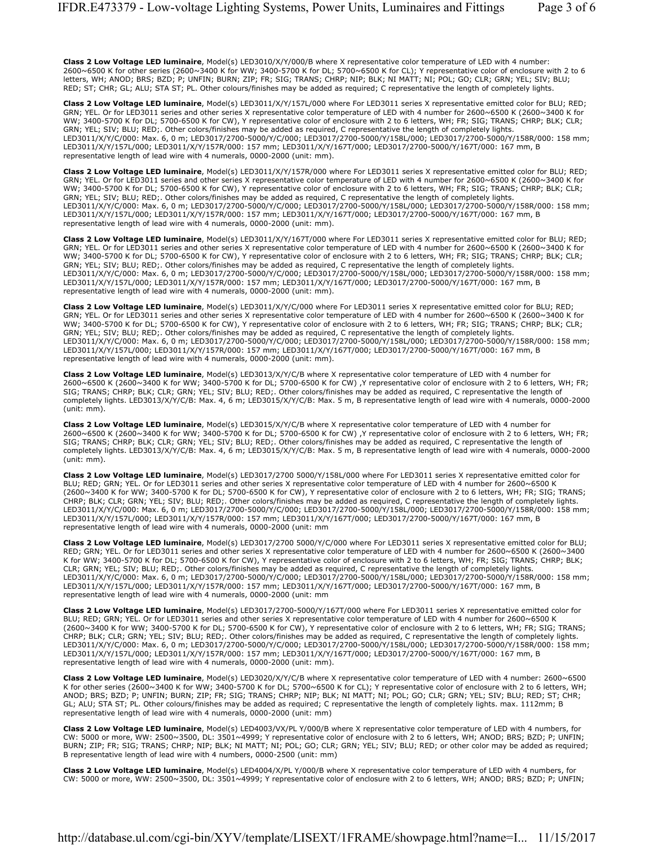**Class 2 Low Voltage LED luminaire**, Model(s) LED3010/X/Y/000/B where X representative color temperature of LED with 4 number: 2600~6500 K for other series (2600~3400 K for WW; 3400-5700 K for DL; 5700~6500 K for CL); Y representative color of enclosure with 2 to 6 letters, WH; ANOD; BRS; BZD; P; UNFIN; BURN; ZIP; FR; SIG; TRANS; CHRP; NIP; BLK; NI MATT; NI; POL; GO; CLR; GRN; YEL; SIV; BLU; RED; ST; CHR; GL; ALU; STA ST; PL. Other colours/finishes may be added as required; C representative the length of completely lights.

**Class 2 Low Voltage LED luminaire**, Model(s) LED3011/X/Y/157L/000 where For LED3011 series X representative emitted color for BLU; RED; GRN; YEL. Or for LED3011 series and other series X representative color temperature of LED with 4 number for 2600~6500 K (2600~3400 K for WW; 3400-5700 K for DL; 5700-6500 K for CW), Y representative color of enclosure with 2 to 6 letters, WH; FR; SIG; TRANS; CHRP; BLK; CLR; GRN; YEL; SIV; BLU; RED;. Other colors/finishes may be added as required, C representative the length of completely lights. LED3011/X/Y/C/000: Max. 6, 0 m; LED3017/2700-5000/Y/C/000; LED3017/2700-5000/Y/158L/000; LED3017/2700-5000/Y/158R/000: 158 mm; LED3011/X/Y/157L/000; LED3011/X/Y/157R/000: 157 mm; LED3011/X/Y/167T/000; LED3017/2700-5000/Y/167T/000: 167 mm, B representative length of lead wire with 4 numerals, 0000-2000 (unit: mm).

**Class 2 Low Voltage LED luminaire**, Model(s) LED3011/X/Y/157R/000 where For LED3011 series X representative emitted color for BLU; RED; GRN; YEL. Or for LED3011 series and other series X representative color temperature of LED with 4 number for 2600~6500 K (2600~3400 K for WW; 3400-5700 K for DL; 5700-6500 K for CW), Y representative color of enclosure with 2 to 6 letters, WH; FR; SIG; TRANS; CHRP; BLK; CLR; GRN; YEL; SIV; BLU; RED;. Other colors/finishes may be added as required, C representative the length of completely lights. LED3011/X/Y/C/000: Max. 6, 0 m; LED3017/2700-5000/Y/C/000; LED3017/2700-5000/Y/158L/000; LED3017/2700-5000/Y/158R/000: 158 mm; LED3011/X/Y/157L/000; LED3011/X/Y/157R/000: 157 mm; LED3011/X/Y/167T/000; LED3017/2700-5000/Y/167T/000: 167 mm, B representative length of lead wire with 4 numerals, 0000-2000 (unit: mm).

**Class 2 Low Voltage LED luminaire**, Model(s) LED3011/X/Y/167T/000 where For LED3011 series X representative emitted color for BLU; RED; GRN; YEL. Or for LED3011 series and other series X representative color temperature of LED with 4 number for 2600~6500 K (2600~3400 K for WW; 3400-5700 K for DL; 5700-6500 K for CW), Y representative color of enclosure with 2 to 6 letters, WH; FR; SIG; TRANS; CHRP; BLK; CLR; GRN; YEL; SIV; BLU; RED;. Other colors/finishes may be added as required, C representative the length of completely lights. LED3011/X/Y/C/000: Max. 6, 0 m; LED3017/2700-5000/Y/C/000; LED3017/2700-5000/Y/158L/000; LED3017/2700-5000/Y/158R/000: 158 mm; LED3011/X/Y/157L/000; LED3011/X/Y/157R/000: 157 mm; LED3011/X/Y/167T/000; LED3017/2700-5000/Y/167T/000: 167 mm, B representative length of lead wire with 4 numerals, 0000-2000 (unit: mm).

**Class 2 Low Voltage LED luminaire**, Model(s) LED3011/X/Y/C/000 where For LED3011 series X representative emitted color for BLU; RED; GRN; YEL. Or for LED3011 series and other series X representative color temperature of LED with 4 number for 2600~6500 K (2600~3400 K for WW; 3400-5700 K for DL; 5700-6500 K for CW), Y representative color of enclosure with 2 to 6 letters, WH; FR; SIG; TRANS; CHRP; BLK; CLR; GRN; YEL; SIV; BLU; RED;. Other colors/finishes may be added as required, C representative the length of completely lights. LED3011/X/Y/C/000: Max. 6, 0 m; LED3017/2700-5000/Y/C/000; LED3017/2700-5000/Y/158L/000; LED3017/2700-5000/Y/158R/000: 158 mm; LED3011/X/Y/157L/000; LED3011/X/Y/157R/000: 157 mm; LED3011/X/Y/167T/000; LED3017/2700-5000/Y/167T/000: 167 mm, B representative length of lead wire with 4 numerals, 0000-2000 (unit: mm).

**Class 2 Low Voltage LED luminaire**, Model(s) LED3013/X/Y/C/B where X representative color temperature of LED with 4 number for 2600~6500 K (2600~3400 K for WW; 3400-5700 K for DL; 5700-6500 K for CW) ,Y representative color of enclosure with 2 to 6 letters, WH; FR; SIG; TRANS; CHRP; BLK; CLR; GRN; YEL; SIV; BLU; RED;. Other colors/finishes may be added as required, C representative the length of completely lights. LED3013/X/Y/C/B: Max. 4, 6 m; LED3015/X/Y/C/B: Max. 5 m, B representative length of lead wire with 4 numerals, 0000-2000 (unit: mm).

**Class 2 Low Voltage LED luminaire**, Model(s) LED3015/X/Y/C/B where X representative color temperature of LED with 4 number for 2600~6500 K (2600~3400 K for WW; 3400-5700 K for DL; 5700-6500 K for CW) ,Y representative color of enclosure with 2 to 6 letters, WH; FR; SIG; TRANS; CHRP; BLK; CLR; GRN; YEL; SIV; BLU; RED;. Other colors/finishes may be added as required, C representative the length of completely lights. LED3013/X/Y/C/B: Max. 4, 6 m; LED3015/X/Y/C/B: Max. 5 m, B representative length of lead wire with 4 numerals, 0000-2000 (unit: mm).

**Class 2 Low Voltage LED luminaire**, Model(s) LED3017/2700 5000/Y/158L/000 where For LED3011 series X representative emitted color for BLU; RED; GRN; YEL. Or for LED3011 series and other series X representative color temperature of LED with 4 number for 2600~6500 K (2600~3400 K for WW; 3400-5700 K for DL; 5700-6500 K for CW), Y representative color of enclosure with 2 to 6 letters, WH; FR; SIG; TRANS; CHRP; BLK; CLR; GRN; YEL; SIV; BLU; RED;. Other colors/finishes may be added as required, C representative the length of completely lights. LED3011/X/Y/C/000: Max. 6, 0 m; LED3017/2700-5000/Y/C/000; LED3017/2700-5000/Y/158L/000; LED3017/2700-5000/Y/158R/000: 158 mm; LED3011/X/Y/157L/000; LED3011/X/Y/157R/000: 157 mm; LED3011/X/Y/167T/000; LED3017/2700-5000/Y/167T/000: 167 mm, B representative length of lead wire with 4 numerals, 0000-2000 (unit: mm

**Class 2 Low Voltage LED luminaire**, Model(s) LED3017/2700 5000/Y/C/000 where For LED3011 series X representative emitted color for BLU; RED; GRN; YEL. Or for LED3011 series and other series X representative color temperature of LED with 4 number for 2600~6500 K (2600~3400 K for WW; 3400-5700 K for DL; 5700-6500 K for CW), Y representative color of enclosure with 2 to 6 letters, WH; FR; SIG; TRANS; CHRP; BLK; CLR; GRN; YEL; SIV; BLU; RED;. Other colors/finishes may be added as required, C representative the length of completely lights. LED3011/X/Y/C/000: Max. 6, 0 m; LED3017/2700-5000/Y/C/000; LED3017/2700-5000/Y/158L/000; LED3017/2700-5000/Y/158R/000: 158 mm; LED3011/X/Y/157L/000; LED3011/X/Y/157R/000: 157 mm; LED3011/X/Y/167T/000; LED3017/2700-5000/Y/167T/000: 167 mm, B representative length of lead wire with 4 numerals, 0000-2000 (unit: mm

**Class 2 Low Voltage LED luminaire**, Model(s) LED3017/2700-5000/Y/167T/000 where For LED3011 series X representative emitted color for BLU; RED; GRN; YEL. Or for LED3011 series and other series X representative color temperature of LED with 4 number for 2600~6500 K (2600~3400 K for WW; 3400-5700 K for DL; 5700-6500 K for CW), Y representative color of enclosure with 2 to 6 letters, WH; FR; SIG; TRANS; CHRP; BLK; CLR; GRN; YEL; SIV; BLU; RED;. Other colors/finishes may be added as required, C representative the length of completely lights. LED3011/X/Y/C/000: Max. 6, 0 m; LED3017/2700-5000/Y/C/000; LED3017/2700-5000/Y/158L/000; LED3017/2700-5000/Y/158R/000: 158 mm; LED3011/X/Y/157L/000; LED3011/X/Y/157R/000: 157 mm; LED3011/X/Y/167T/000; LED3017/2700-5000/Y/167T/000: 167 mm, B representative length of lead wire with 4 numerals, 0000-2000 (unit: mm).

**Class 2 Low Voltage LED luminaire**, Model(s) LED3020/X/Y/C/B where X representative color temperature of LED with 4 number: 2600~6500 K for other series (2600~3400 K for WW; 3400-5700 K for DL; 5700~6500 K for CL); Y representative color of enclosure with 2 to 6 letters, WH; ANOD; BRS; BZD; P; UNFIN; BURN; ZIP; FR; SIG; TRANS; CHRP; NIP; BLK; NI MATT; NI; POL; GO; CLR; GRN; YEL; SIV; BLU; RED; ST; CHR; GL; ALU; STA ST; PL. Other colours/finishes may be added as required; C representative the length of completely lights. max. 1112mm; B representative length of lead wire with 4 numerals, 0000-2000 (unit: mm)

**Class 2 Low Voltage LED luminaire**, Model(s) LED4003/VX/PL Y/000/B where X representative color temperature of LED with 4 numbers, for CW: 5000 or more, WW: 2500~3500, DL: 3501~4999; Y representative color of enclosure with 2 to 6 letters, WH; ANOD; BRS; BZD; P; UNFIN; BURN; ZIP; FR; SIG; TRANS; CHRP; NIP; BLK; NI MATT; NI; POL; GO; CLR; GRN; YEL; SIV; BLU; RED; or other color may be added as required; B representative length of lead wire with 4 numbers, 0000-2500 (unit: mm)

**Class 2 Low Voltage LED luminaire**, Model(s) LED4004/X/PL Y/000/B where X representative color temperature of LED with 4 numbers, for CW: 5000 or more, WW: 2500~3500, DL: 3501~4999; Y representative color of enclosure with 2 to 6 letters, WH; ANOD; BRS; BZD; P; UNFIN;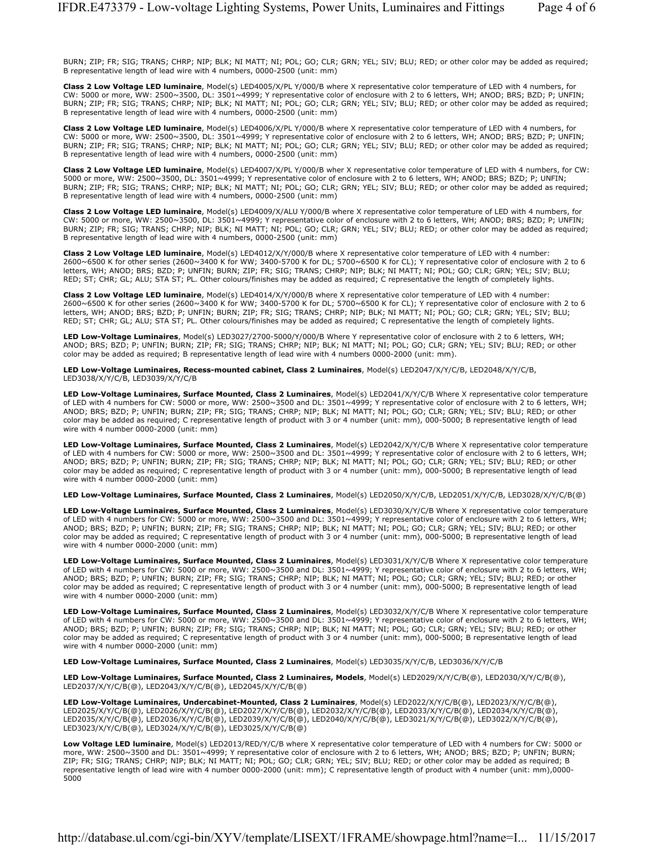BURN; ZIP; FR; SIG; TRANS; CHRP; NIP; BLK; NI MATT; NI; POL; GO; CLR; GRN; YEL; SIV; BLU; RED; or other color may be added as required; B representative length of lead wire with 4 numbers, 0000-2500 (unit: mm)

**Class 2 Low Voltage LED luminaire**, Model(s) LED4005/X/PL Y/000/B where X representative color temperature of LED with 4 numbers, for CW: 5000 or more, WW: 2500~3500, DL: 3501~4999; Y representative color of enclosure with 2 to 6 letters, WH; ANOD; BRS; BZD; P; UNFIN; BURN; ZIP; FR; SIG; TRANS; CHRP; NIP; BLK; NI MATT; NI; POL; GO; CLR; GRN; YEL; SIV; BLU; RED; or other color may be added as required; B representative length of lead wire with 4 numbers, 0000-2500 (unit: mm)

**Class 2 Low Voltage LED luminaire**, Model(s) LED4006/X/PL Y/000/B where X representative color temperature of LED with 4 numbers, for CW: 5000 or more, WW: 2500~3500, DL: 3501~4999; Y representative color of enclosure with 2 to 6 letters, WH; ANOD; BRS; BZD; P; UNFIN; BURN; ZIP; FR; SIG; TRANS; CHRP; NIP; BLK; NI MATT; NI; POL; GO; CLR; GRN; YEL; SIV; BLU; RED; or other color may be added as required; B representative length of lead wire with 4 numbers, 0000-2500 (unit: mm)

**Class 2 Low Voltage LED luminaire**, Model(s) LED4007/X/PL Y/000/B wher X representative color temperature of LED with 4 numbers, for CW: 5000 or more, WW: 2500~3500, DL: 3501~4999; Y representative color of enclosure with 2 to 6 letters, WH; ANOD; BRS; BZD; P; UNFIN; BURN; ZIP; FR; SIG; TRANS; CHRP; NIP; BLK; NI MATT; NI; POL; GO; CLR; GRN; YEL; SIV; BLU; RED; or other color may be added as required; B representative length of lead wire with 4 numbers, 0000-2500 (unit: mm)

**Class 2 Low Voltage LED luminaire**, Model(s) LED4009/X/ALU Y/000/B where X representative color temperature of LED with 4 numbers, for CW: 5000 or more, WW: 2500~3500, DL: 3501~4999; Y representative color of enclosure with 2 to 6 letters, WH; ANOD; BRS; BZD; P; UNFIN; BURN; ZIP; FR; SIG; TRANS; CHRP; NIP; BLK; NI MATT; NI; POL; GO; CLR; GRN; YEL; SIV; BLU; RED; or other color may be added as required; B representative length of lead wire with 4 numbers, 0000-2500 (unit: mm)

**Class 2 Low Voltage LED luminaire**, Model(s) LED4012/X/Y/000/B where X representative color temperature of LED with 4 number: 2600~6500 K for other series (2600~3400 K for WW; 3400-5700 K for DL; 5700~6500 K for CL); Y representative color of enclosure with 2 to 6 letters, WH; ANOD; BRS; BZD; P; UNFIN; BURN; ZIP; FR; SIG; TRANS; CHRP; NIP; BLK; NI MATT; NI; POL; GO; CLR; GRN; YEL; SIV; BLU; RED; ST; CHR; GL; ALU; STA ST; PL. Other colours/finishes may be added as required; C representative the length of completely lights.

**Class 2 Low Voltage LED luminaire**, Model(s) LED4014/X/Y/000/B where X representative color temperature of LED with 4 number: 2600~6500 K for other series (2600~3400 K for WW; 3400-5700 K for DL; 5700~6500 K for CL); Y representative color of enclosure with 2 to 6 letters, WH; ANOD; BRS; BZD; P; UNFIN; BURN; ZIP; FR; SIG; TRANS; CHRP; NIP; BLK; NI MATT; NI; POL; GO; CLR; GRN; YEL; SIV; BLU; RED; ST; CHR; GL; ALU; STA ST; PL. Other colours/finishes may be added as required; C representative the length of completely lights.

**LED Low-Voltage Luminaires**, Model(s) LED3027/2700-5000/Y/000/B Where Y representative color of enclosure with 2 to 6 letters, WH; ANOD; BRS; BZD; P; UNFIN; BURN; ZIP; FR; SIG; TRANS; CHRP; NIP; BLK; NI MATT; NI; POL; GO; CLR; GRN; YEL; SIV; BLU; RED; or other color may be added as required; B representative length of lead wire with 4 numbers 0000-2000 (unit: mm).

**LED Low-Voltage Luminaires, Recess-mounted cabinet, Class 2 Luminaires**, Model(s) LED2047/X/Y/C/B, LED2048/X/Y/C/B, LED3038/X/Y/C/B, LED3039/X/Y/C/B

**LED Low-Voltage Luminaires, Surface Mounted, Class 2 Luminaires**, Model(s) LED2041/X/Y/C/B Where X representative color temperature of LED with 4 numbers for CW: 5000 or more, WW: 2500~3500 and DL: 3501~4999; Y representative color of enclosure with 2 to 6 letters, WH; ANOD; BRS; BZD; P; UNFIN; BURN; ZIP; FR; SIG; TRANS; CHRP; NIP; BLK; NI MATT; NI; POL; GO; CLR; GRN; YEL; SIV; BLU; RED; or other color may be added as required; C representative length of product with 3 or 4 number (unit: mm), 000-5000; B representative length of lead wire with 4 number 0000-2000 (unit: mm)

**LED Low-Voltage Luminaires, Surface Mounted, Class 2 Luminaires**, Model(s) LED2042/X/Y/C/B Where X representative color temperature of LED with 4 numbers for CW: 5000 or more, WW: 2500~3500 and DL: 3501~4999; Y representative color of enclosure with 2 to 6 letters, WH; ANOD; BRS; BZD; P; UNFIN; BURN; ZIP; FR; SIG; TRANS; CHRP; NIP; BLK; NI MATT; NI; POL; GO; CLR; GRN; YEL; SIV; BLU; RED; or other color may be added as required; C representative length of product with 3 or 4 number (unit: mm), 000-5000; B representative length of lead wire with 4 number 0000-2000 (unit: mm)

**LED Low-Voltage Luminaires, Surface Mounted, Class 2 Luminaires**, Model(s) LED2050/X/Y/C/B, LED2051/X/Y/C/B, LED3028/X/Y/C/B(@)

**LED Low-Voltage Luminaires, Surface Mounted, Class 2 Luminaires**, Model(s) LED3030/X/Y/C/B Where X representative color temperature of LED with 4 numbers for CW: 5000 or more, WW: 2500~3500 and DL: 3501~4999; Y representative color of enclosure with 2 to 6 letters, WH; ANOD; BRS; BZD; P; UNFIN; BURN; ZIP; FR; SIG; TRANS; CHRP; NIP; BLK; NI MATT; NI; POL; GO; CLR; GRN; YEL; SIV; BLU; RED; or other color may be added as required; C representative length of product with 3 or 4 number (unit: mm), 000-5000; B representative length of lead wire with 4 number 0000-2000 (unit: mm)

**LED Low-Voltage Luminaires, Surface Mounted, Class 2 Luminaires**, Model(s) LED3031/X/Y/C/B Where X representative color temperature of LED with 4 numbers for CW: 5000 or more, WW: 2500~3500 and DL: 3501~4999; Y representative color of enclosure with 2 to 6 letters, WH; ANOD; BRS; BZD; P; UNFIN; BURN; ZIP; FR; SIG; TRANS; CHRP; NIP; BLK; NI MATT; NI; POL; GO; CLR; GRN; YEL; SIV; BLU; RED; or other color may be added as required; C representative length of product with 3 or 4 number (unit: mm), 000-5000; B representative length of lead wire with 4 number 0000-2000 (unit: mm)

**LED Low-Voltage Luminaires, Surface Mounted, Class 2 Luminaires**, Model(s) LED3032/X/Y/C/B Where X representative color temperature of LED with 4 numbers for CW: 5000 or more, WW: 2500~3500 and DL: 3501~4999; Y representative color of enclosure with 2 to 6 letters, WH; ANOD; BRS; BZD; P; UNFIN; BURN; ZIP; FR; SIG; TRANS; CHRP; NIP; BLK; NI MATT; NI; POL; GO; CLR; GRN; YEL; SIV; BLU; RED; or other color may be added as required; C representative length of product with 3 or 4 number (unit: mm), 000-5000; B representative length of lead wire with 4 number 0000-2000 (unit: mm)

**LED Low-Voltage Luminaires, Surface Mounted, Class 2 Luminaires**, Model(s) LED3035/X/Y/C/B, LED3036/X/Y/C/B

**LED Low-Voltage Luminaires, Surface Mounted, Class 2 Luminaires, Models**, Model(s) LED2029/X/Y/C/B(@), LED2030/X/Y/C/B(@), LED2037/X/Y/C/B(@), LED2043/X/Y/C/B(@), LED2045/X/Y/C/B(@)

**LED Low-Voltage Luminaires, Undercabinet-Mounted, Class 2 Luminaires**, Model(s) LED2022/X/Y/C/B(@), LED2023/X/Y/C/B(@), LED2025/X/Y/C/B(@), LED2026/X/Y/C/B(@), LED2027/X/Y/C/B(@), LED2032/X/Y/C/B(@), LED2033/X/Y/C/B(@), LED2034/X/Y/C/B(@), LED2035/X/Y/C/B(@), LED2036/X/Y/C/B(@), LED2039/X/Y/C/B(@), LED2040/X/Y/C/B(@), LED3021/X/Y/C/B(@), LED3022/X/Y/C/B(@), LED3023/X/Y/C/B(@), LED3024/X/Y/C/B(@), LED3025/X/Y/C/B(@)

**Low Voltage LED luminaire**, Model(s) LED2013/RED/Y/C/B where X representative color temperature of LED with 4 numbers for CW: 5000 or more, WW: 2500~3500 and DL: 3501~4999; Y representative color of enclosure with 2 to 6 letters, WH; ANOD; BRS; BZD; P; UNFIN; BURN; ZIP; FR; SIG; TRANS; CHRP; NIP; BLK; NI MATT; NI; POL; GO; CLR; GRN; YEL; SIV; BLU; RED; or other color may be added as required; B representative length of lead wire with 4 number 0000-2000 (unit: mm); C representative length of product with 4 number (unit: mm),0000- 5000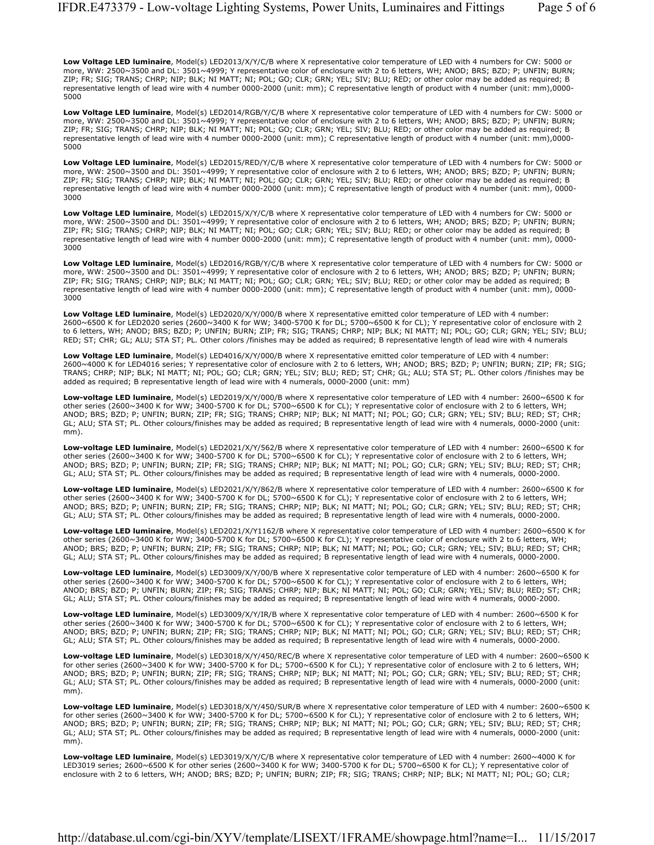**Low Voltage LED luminaire**, Model(s) LED2013/X/Y/C/B where X representative color temperature of LED with 4 numbers for CW: 5000 or more, WW: 2500~3500 and DL: 3501~4999; Y representative color of enclosure with 2 to 6 letters, WH; ANOD; BRS; BZD; P; UNFIN; BURN; ZIP; FR; SIG; TRANS; CHRP; NIP; BLK; NI MATT; NI; POL; GO; CLR; GRN; YEL; SIV; BLU; RED; or other color may be added as required; B representative length of lead wire with 4 number 0000-2000 (unit: mm); C representative length of product with 4 number (unit: mm),0000- 5000

**Low Voltage LED luminaire**, Model(s) LED2014/RGB/Y/C/B where X representative color temperature of LED with 4 numbers for CW: 5000 or more, WW: 2500~3500 and DL: 3501~4999; Y representative color of enclosure with 2 to 6 letters, WH; ANOD; BRS; BZD; P; UNFIN; BURN; ZIP; FR; SIG; TRANS; CHRP; NIP; BLK; NI MATT; NI; POL; GO; CLR; GRN; YEL; SIV; BLU; RED; or other color may be added as required; B representative length of lead wire with 4 number 0000-2000 (unit: mm); C representative length of product with 4 number (unit: mm),0000- 5000

**Low Voltage LED luminaire**, Model(s) LED2015/RED/Y/C/B where X representative color temperature of LED with 4 numbers for CW: 5000 or more, WW: 2500~3500 and DL: 3501~4999; Y representative color of enclosure with 2 to 6 letters, WH; ANOD; BRS; BZD; P; UNFIN; BURN; ZIP; FR; SIG; TRANS; CHRP; NIP; BLK; NI MATT; NI; POL; GO; CLR; GRN; YEL; SIV; BLU; RED; or other color may be added as required; B representative length of lead wire with 4 number 0000-2000 (unit: mm); C representative length of product with 4 number (unit: mm), 0000- 3000

**Low Voltage LED luminaire**, Model(s) LED2015/X/Y/C/B where X representative color temperature of LED with 4 numbers for CW: 5000 or more, WW: 2500~3500 and DL: 3501~4999; Y representative color of enclosure with 2 to 6 letters, WH; ANOD; BRS; BZD; P; UNFIN; BURN; ZIP; FR; SIG; TRANS; CHRP; NIP; BLK; NI MATT; NI; POL; GO; CLR; GRN; YEL; SIV; BLU; RED; or other color may be added as required; B representative length of lead wire with 4 number 0000-2000 (unit: mm); C representative length of product with 4 number (unit: mm), 0000- 3000

**Low Voltage LED luminaire**, Model(s) LED2016/RGB/Y/C/B where X representative color temperature of LED with 4 numbers for CW: 5000 or more, WW: 2500~3500 and DL: 3501~4999; Y representative color of enclosure with 2 to 6 letters, WH; ANOD; BRS; BZD; P; UNFIN; BURN; ZIP; FR; SIG; TRANS; CHRP; NIP; BLK; NI MATT; NI; POL; GO; CLR; GRN; YEL; SIV; BLU; RED; or other color may be added as required; B representative length of lead wire with 4 number 0000-2000 (unit: mm); C representative length of product with 4 number (unit: mm), 0000- 3000

**Low Voltage LED luminaire**, Model(s) LED2020/X/Y/000/B where X representative emitted color temperature of LED with 4 number: 2600~6500 K for LED2020 series (2600~3400 K for WW; 3400-5700 K for DL; 5700~6500 K for CL); Y representative color of enclosure with 2 to 6 letters, WH; ANOD; BRS; BZD; P; UNFIN; BURN; ZIP; FR; SIG; TRANS; CHRP; NIP; BLK; NI MATT; NI; POL; GO; CLR; GRN; YEL; SIV; BLU; RED; ST; CHR; GL; ALU; STA ST; PL. Other colors /finishes may be added as required; B representative length of lead wire with 4 numerals

**Low Voltage LED luminaire**, Model(s) LED4016/X/Y/000/B where X representative emitted color temperature of LED with 4 number: 2600~4000 K for LED4016 series; Y representative color of enclosure with 2 to 6 letters, WH; ANOD; BRS; BZD; P; UNFIN; BURN; ZIP; FR; SIG; TRANS; CHRP; NIP; BLK; NI MATT; NI; POL; GO; CLR; GRN; YEL; SIV; BLU; RED; ST; CHR; GL; ALU; STA ST; PL. Other colors /finishes may be added as required; B representative length of lead wire with 4 numerals, 0000-2000 (unit: mm)

**Low-voltage LED luminaire**, Model(s) LED2019/X/Y/000/B where X representative color temperature of LED with 4 number: 2600~6500 K for other series (2600~3400 K for WW; 3400-5700 K for DL; 5700~6500 K for CL); Y representative color of enclosure with 2 to 6 letters, WH; ANOD; BRS; BZD; P; UNFIN; BURN; ZIP; FR; SIG; TRANS; CHRP; NIP; BLK; NI MATT; NI; POL; GO; CLR; GRN; YEL; SIV; BLU; RED; ST; CHR; GL; ALU; STA ST; PL. Other colours/finishes may be added as required; B representative length of lead wire with 4 numerals, 0000-2000 (unit: mm).

**Low-voltage LED luminaire**, Model(s) LED2021/X/Y/562/B where X representative color temperature of LED with 4 number: 2600~6500 K for other series (2600~3400 K for WW; 3400-5700 K for DL; 5700~6500 K for CL); Y representative color of enclosure with 2 to 6 letters, WH; ANOD; BRS; BZD; P; UNFIN; BURN; ZIP; FR; SIG; TRANS; CHRP; NIP; BLK; NI MATT; NI; POL; GO; CLR; GRN; YEL; SIV; BLU; RED; ST; CHR; GL; ALU; STA ST; PL. Other colours/finishes may be added as required; B representative length of lead wire with 4 numerals, 0000-2000.

**Low-voltage LED luminaire**, Model(s) LED2021/X/Y/862/B where X representative color temperature of LED with 4 number: 2600~6500 K for other series (2600~3400 K for WW; 3400-5700 K for DL; 5700~6500 K for CL); Y representative color of enclosure with 2 to 6 letters, WH; ANOD; BRS; BZD; P; UNFIN; BURN; ZIP; FR; SIG; TRANS; CHRP; NIP; BLK; NI MATT; NI; POL; GO; CLR; GRN; YEL; SIV; BLU; RED; ST; CHR; GL; ALU; STA ST; PL. Other colours/finishes may be added as required; B representative length of lead wire with 4 numerals, 0000-2000.

**Low-voltage LED luminaire**, Model(s) LED2021/X/Y1162/B where X representative color temperature of LED with 4 number: 2600~6500 K for other series (2600~3400 K for WW; 3400-5700 K for DL; 5700~6500 K for CL); Y representative color of enclosure with 2 to 6 letters, WH; ANOD; BRS; BZD; P; UNFIN; BURN; ZIP; FR; SIG; TRANS; CHRP; NIP; BLK; NI MATT; NI; POL; GO; CLR; GRN; YEL; SIV; BLU; RED; ST; CHR; GL; ALU; STA ST; PL. Other colours/finishes may be added as required; B representative length of lead wire with 4 numerals, 0000-2000.

**Low-voltage LED luminaire**, Model(s) LED3009/X/Y/00/B where X representative color temperature of LED with 4 number: 2600~6500 K for other series (2600~3400 K for WW; 3400-5700 K for DL; 5700~6500 K for CL); Y representative color of enclosure with 2 to 6 letters, WH; ANOD; BRS; BZD; P; UNFIN; BURN; ZIP; FR; SIG; TRANS; CHRP; NIP; BLK; NI MATT; NI; POL; GO; CLR; GRN; YEL; SIV; BLU; RED; ST; CHR; GL; ALU; STA ST; PL. Other colours/finishes may be added as required; B representative length of lead wire with 4 numerals, 0000-2000.

**Low-voltage LED luminaire**, Model(s) LED3009/X/Y/IR/B where X representative color temperature of LED with 4 number: 2600~6500 K for other series (2600~3400 K for WW; 3400-5700 K for DL; 5700~6500 K for CL); Y representative color of enclosure with 2 to 6 letters, WH; ANOD; BRS; BZD; P; UNFIN; BURN; ZIP; FR; SIG; TRANS; CHRP; NIP; BLK; NI MATT; NI; POL; GO; CLR; GRN; YEL; SIV; BLU; RED; ST; CHR; GL; ALU; STA ST; PL. Other colours/finishes may be added as required; B representative length of lead wire with 4 numerals, 0000-2000.

**Low-voltage LED luminaire**, Model(s) LED3018/X/Y/450/REC/B where X representative color temperature of LED with 4 number: 2600~6500 K for other series (2600~3400 K for WW; 3400-5700 K for DL; 5700~6500 K for CL); Y representative color of enclosure with 2 to 6 letters, WH; ANOD; BRS; BZD; P; UNFIN; BURN; ZIP; FR; SIG; TRANS; CHRP; NIP; BLK; NI MATT; NI; POL; GO; CLR; GRN; YEL; SIV; BLU; RED; ST; CHR; GL; ALU; STA ST; PL. Other colours/finishes may be added as required; B representative length of lead wire with 4 numerals, 0000-2000 (unit: mm).

**Low-voltage LED luminaire**, Model(s) LED3018/X/Y/450/SUR/B where X representative color temperature of LED with 4 number: 2600~6500 K for other series (2600~3400 K for WW; 3400-5700 K for DL; 5700~6500 K for CL); Y representative color of enclosure with 2 to 6 letters, WH; ANOD; BRS; BZD; P; UNFIN; BURN; ZIP; FR; SIG; TRANS; CHRP; NIP; BLK; NI MATT; NI; POL; GO; CLR; GRN; YEL; SIV; BLU; RED; ST; CHR; GL; ALU; STA ST; PL. Other colours/finishes may be added as required; B representative length of lead wire with 4 numerals, 0000-2000 (unit: mm).

**Low-voltage LED luminaire**, Model(s) LED3019/X/Y/C/B where X representative color temperature of LED with 4 number: 2600~4000 K for LED3019 series; 2600~6500 K for other series (2600~3400 K for WW; 3400-5700 K for DL; 5700~6500 K for CL); Y representative color of enclosure with 2 to 6 letters, WH; ANOD; BRS; BZD; P; UNFIN; BURN; ZIP; FR; SIG; TRANS; CHRP; NIP; BLK; NI MATT; NI; POL; GO; CLR;